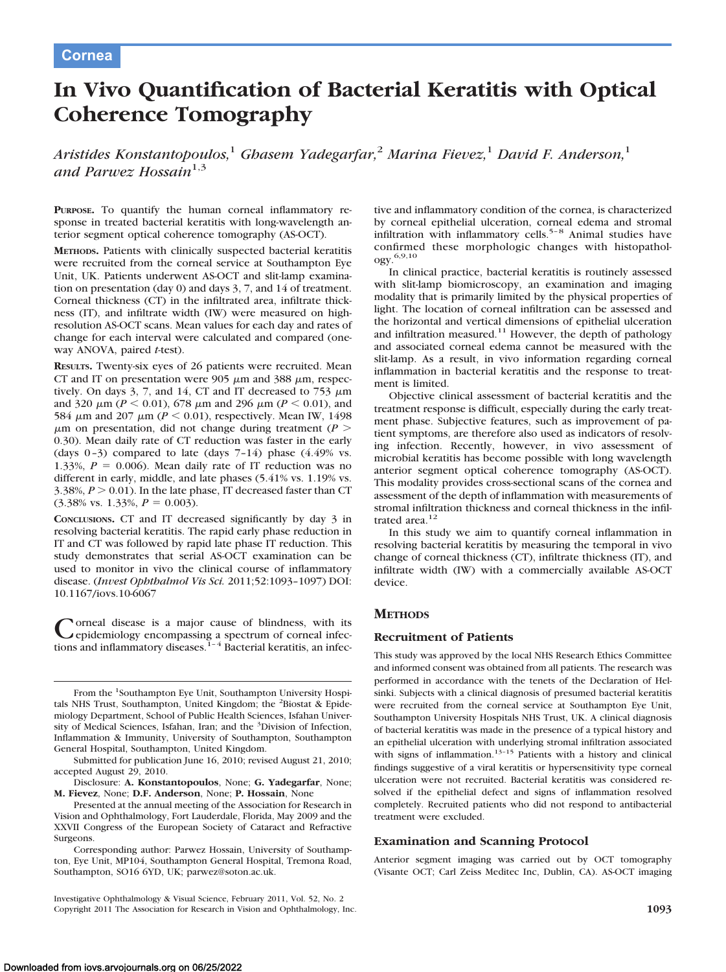# **In Vivo Quantification of Bacterial Keratitis with Optical Coherence Tomography**

*Aristides Konstantopoulos,*<sup>1</sup> *Ghasem Yadegarfar,*<sup>2</sup> *Marina Fievez,*<sup>1</sup> *David F. Anderson,*<sup>1</sup> and Parwez Hossain<sup>1,3</sup>

**PURPOSE.** To quantify the human corneal inflammatory response in treated bacterial keratitis with long-wavelength anterior segment optical coherence tomography (AS-OCT).

**METHODS.** Patients with clinically suspected bacterial keratitis were recruited from the corneal service at Southampton Eye Unit, UK. Patients underwent AS-OCT and slit-lamp examination on presentation (day 0) and days 3, 7, and 14 of treatment. Corneal thickness (CT) in the infiltrated area, infiltrate thickness (IT), and infiltrate width (IW) were measured on highresolution AS-OCT scans. Mean values for each day and rates of change for each interval were calculated and compared (oneway ANOVA, paired *t*-test).

**RESULTS.** Twenty-six eyes of 26 patients were recruited. Mean CT and IT on presentation were 905  $\mu$ m and 388  $\mu$ m, respectively. On days 3, 7, and 14, CT and IT decreased to 753  $\mu$ m and 320  $\mu$ m (*P* < 0.01), 678  $\mu$ m and 296  $\mu$ m (*P* < 0.01), and 584  $\mu$ m and 207  $\mu$ m (*P* < 0.01), respectively. Mean IW, 1498  $\mu$ m on presentation, did not change during treatment ( $P >$ 0.30). Mean daily rate of CT reduction was faster in the early (days  $0-3$ ) compared to late (days  $7-14$ ) phase  $(4.49\%$  vs. 1.33%,  $P = 0.006$ ). Mean daily rate of IT reduction was no different in early, middle, and late phases (5.41% vs. 1.19% vs.  $3.38\%, P > 0.01$ ). In the late phase, IT decreased faster than CT  $(3.38\% \text{ vs. } 1.33\%, P = 0.003).$ 

**CONCLUSIONS.** CT and IT decreased significantly by day 3 in resolving bacterial keratitis. The rapid early phase reduction in IT and CT was followed by rapid late phase IT reduction. This study demonstrates that serial AS-OCT examination can be used to monitor in vivo the clinical course of inflammatory disease. (*Invest Ophthalmol Vis Sci.* 2011;52:1093–1097) DOI: 10.1167/iovs.10-6067

Corneal disease is a major cause of blindness, with its epidemiology encompassing a spectrum of corneal infections and inflammatory diseases.<sup>1-4</sup> Bacterial keratitis, an infec-

From the <sup>1</sup>Southampton Eye Unit, Southampton University Hospitals NHS Trust, Southampton, United Kingdom; the <sup>2</sup>Biostat & Epidemiology Department, School of Public Health Sciences, Isfahan University of Medical Sciences, Isfahan, Iran; and the <sup>3</sup>Division of Infection, Inflammation & Immunity, University of Southampton, Southampton General Hospital, Southampton, United Kingdom.

tive and inflammatory condition of the cornea, is characterized by corneal epithelial ulceration, corneal edema and stromal infiltration with inflammatory cells.<sup>5-8</sup> Animal studies have confirmed these morphologic changes with histopathology.6,9,10

In clinical practice, bacterial keratitis is routinely assessed with slit-lamp biomicroscopy, an examination and imaging modality that is primarily limited by the physical properties of light. The location of corneal infiltration can be assessed and the horizontal and vertical dimensions of epithelial ulceration and infiltration measured. $11$  However, the depth of pathology and associated corneal edema cannot be measured with the slit-lamp. As a result, in vivo information regarding corneal inflammation in bacterial keratitis and the response to treatment is limited.

Objective clinical assessment of bacterial keratitis and the treatment response is difficult, especially during the early treatment phase. Subjective features, such as improvement of patient symptoms, are therefore also used as indicators of resolving infection. Recently, however, in vivo assessment of microbial keratitis has become possible with long wavelength anterior segment optical coherence tomography (AS-OCT). This modality provides cross-sectional scans of the cornea and assessment of the depth of inflammation with measurements of stromal infiltration thickness and corneal thickness in the infiltrated area.<sup>12</sup>

In this study we aim to quantify corneal inflammation in resolving bacterial keratitis by measuring the temporal in vivo change of corneal thickness (CT), infiltrate thickness (IT), and infiltrate width (IW) with a commercially available AS-OCT device.

# **METHODS**

# **Recruitment of Patients**

This study was approved by the local NHS Research Ethics Committee and informed consent was obtained from all patients. The research was performed in accordance with the tenets of the Declaration of Helsinki. Subjects with a clinical diagnosis of presumed bacterial keratitis were recruited from the corneal service at Southampton Eye Unit, Southampton University Hospitals NHS Trust, UK. A clinical diagnosis of bacterial keratitis was made in the presence of a typical history and an epithelial ulceration with underlying stromal infiltration associated with signs of inflammation.<sup>13-15</sup> Patients with a history and clinical findings suggestive of a viral keratitis or hypersensitivity type corneal ulceration were not recruited. Bacterial keratitis was considered resolved if the epithelial defect and signs of inflammation resolved completely. Recruited patients who did not respond to antibacterial treatment were excluded.

# **Examination and Scanning Protocol**

Anterior segment imaging was carried out by OCT tomography (Visante OCT; Carl Zeiss Meditec Inc, Dublin, CA). AS-OCT imaging

Submitted for publication June 16, 2010; revised August 21, 2010; accepted August 29, 2010.

Disclosure: **A. Konstantopoulos**, None; **G. Yadegarfar**, None; **M. Fievez**, None; **D.F. Anderson**, None; **P. Hossain**, None

Presented at the annual meeting of the Association for Research in Vision and Ophthalmology, Fort Lauderdale, Florida, May 2009 and the XXVII Congress of the European Society of Cataract and Refractive Surgeons.

Corresponding author: Parwez Hossain, University of Southampton, Eye Unit, MP104, Southampton General Hospital, Tremona Road, Southampton, SO16 6YD, UK; parwez@soton.ac.uk.

Investigative Ophthalmology & Visual Science, February 2011, Vol. 52, No. 2 Copyright 2011 The Association for Research in Vision and Ophthalmology, Inc. **1093**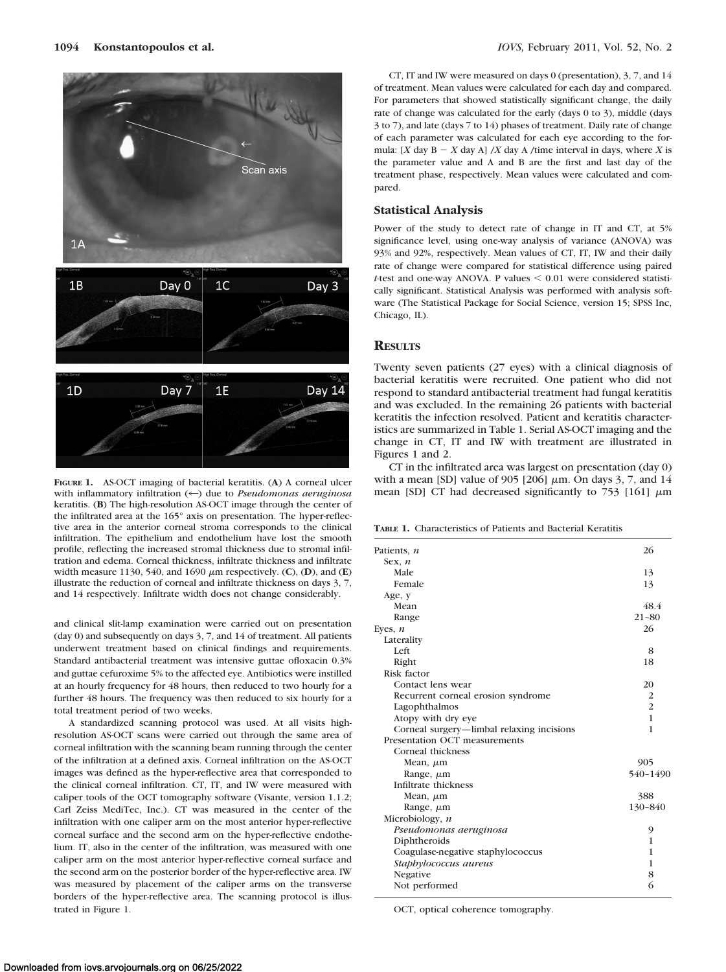

**FIGURE 1.** AS-OCT imaging of bacterial keratitis. (**A**) A corneal ulcer with inflammatory infiltration (4) due to *Pseudomonas aeruginosa* keratitis. (**B**) The high-resolution AS-OCT image through the center of the infiltrated area at the 165° axis on presentation. The hyper-reflective area in the anterior corneal stroma corresponds to the clinical infiltration. The epithelium and endothelium have lost the smooth profile, reflecting the increased stromal thickness due to stromal infiltration and edema. Corneal thickness, infiltrate thickness and infiltrate width measure 1130, 540, and 1690 m respectively. (**C**), (**D**), and (**E**) illustrate the reduction of corneal and infiltrate thickness on days 3, 7, and 14 respectively. Infiltrate width does not change considerably.

and clinical slit-lamp examination were carried out on presentation (day 0) and subsequently on days 3, 7, and 14 of treatment. All patients underwent treatment based on clinical findings and requirements. Standard antibacterial treatment was intensive guttae ofloxacin 0.3% and guttae cefuroxime 5% to the affected eye. Antibiotics were instilled at an hourly frequency for 48 hours, then reduced to two hourly for a further 48 hours. The frequency was then reduced to six hourly for a total treatment period of two weeks.

A standardized scanning protocol was used. At all visits highresolution AS-OCT scans were carried out through the same area of corneal infiltration with the scanning beam running through the center of the infiltration at a defined axis. Corneal infiltration on the AS-OCT images was defined as the hyper-reflective area that corresponded to the clinical corneal infiltration. CT, IT, and IW were measured with caliper tools of the OCT tomography software (Visante, version 1.1.2; Carl Zeiss MediTec, Inc.). CT was measured in the center of the infiltration with one caliper arm on the most anterior hyper-reflective corneal surface and the second arm on the hyper-reflective endothelium. IT, also in the center of the infiltration, was measured with one caliper arm on the most anterior hyper-reflective corneal surface and the second arm on the posterior border of the hyper-reflective area. IW was measured by placement of the caliper arms on the transverse borders of the hyper-reflective area. The scanning protocol is illustrated in Figure 1.

CT, IT and IW were measured on days 0 (presentation), 3, 7, and 14 of treatment. Mean values were calculated for each day and compared. For parameters that showed statistically significant change, the daily rate of change was calculated for the early (days 0 to 3), middle (days 3 to 7), and late (days 7 to 14) phases of treatment. Daily rate of change of each parameter was calculated for each eye according to the formula: [*X* day B  $-$  *X* day A] /*X* day A /time interval in days, where *X* is the parameter value and A and B are the first and last day of the treatment phase, respectively. Mean values were calculated and compared.

# **Statistical Analysis**

Power of the study to detect rate of change in IT and CT, at 5% significance level, using one-way analysis of variance (ANOVA) was 93% and 92%, respectively. Mean values of CT, IT, IW and their daily rate of change were compared for statistical difference using paired *t*-test and one-way ANOVA. P values  $< 0.01$  were considered statistically significant. Statistical Analysis was performed with analysis software (The Statistical Package for Social Science, version 15; SPSS Inc, Chicago, IL).

#### **RESULTS**

Twenty seven patients (27 eyes) with a clinical diagnosis of bacterial keratitis were recruited. One patient who did not respond to standard antibacterial treatment had fungal keratitis and was excluded. In the remaining 26 patients with bacterial keratitis the infection resolved. Patient and keratitis characteristics are summarized in Table 1. Serial AS-OCT imaging and the change in CT, IT and IW with treatment are illustrated in Figures 1 and 2.

CT in the infiltrated area was largest on presentation (day 0) with a mean [SD] value of 905 [206]  $\mu$ m. On days 3, 7, and 14 mean [SD] CT had decreased significantly to 753 [161]  $\mu$ m

**TABLE 1.** Characteristics of Patients and Bacterial Keratitis

| Patients, n                               | 26             |
|-------------------------------------------|----------------|
| Sex, $n$                                  |                |
| Male                                      | 13             |
| Female                                    | 13             |
| Age, y                                    |                |
| Mean                                      | 48.4           |
| Range                                     | $21 - 80$      |
| Eyes, $n$                                 | 26             |
| Laterality                                |                |
| Left                                      | 8              |
| Right                                     | 18             |
| Risk factor                               |                |
| Contact lens wear                         | 20             |
| Recurrent corneal erosion syndrome        | 2              |
| Lagophthalmos                             | $\overline{2}$ |
| Atopy with dry eye                        | $\mathbf{1}$   |
| Corneal surgery—limbal relaxing incisions | 1              |
| Presentation OCT measurements             |                |
| Corneal thickness                         |                |
| Mean, $\mu$ m                             | 905            |
| Range, $\mu$ m                            | 540-1490       |
| Infiltrate thickness                      |                |
| Mean, $\mu$ m                             | 388            |
| Range, $\mu$ m                            | 130-840        |
| Microbiology, n                           |                |
| Pseudomonas aeruginosa                    | 9              |
| Diphtheroids                              | $\mathbf{1}$   |
| Coagulase-negative staphylococcus         | 1              |
| Staphylococcus aureus                     | 1              |
| Negative                                  | 8              |
| Not performed                             | 6              |
|                                           |                |

OCT, optical coherence tomography.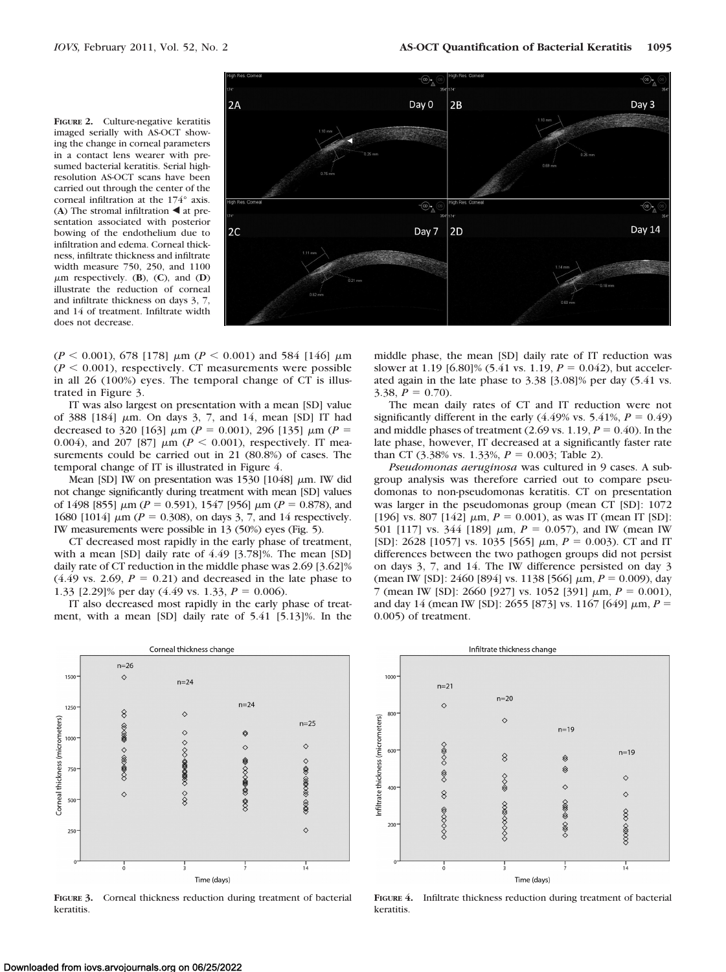**FIGURE 2.** Culture-negative keratitis imaged serially with AS-OCT showing the change in corneal parameters in a contact lens wearer with presumed bacterial keratitis. Serial highresolution AS-OCT scans have been carried out through the center of the corneal infiltration at the 174° axis. (A) The stromal infiltration  $\blacktriangleleft$  at presentation associated with posterior bowing of the endothelium due to infiltration and edema. Corneal thickness, infiltrate thickness and infiltrate width measure 750, 250, and 1100 m respectively. (**B**), (**C**), and (**D**) illustrate the reduction of corneal and infiltrate thickness on days 3, 7, and 14 of treatment. Infiltrate width does not decrease.



( $P < 0.001$ ), 678 [178]  $\mu$ m ( $P < 0.001$ ) and 584 [146]  $\mu$ m  $(P < 0.001)$ , respectively. CT measurements were possible in all 26 (100%) eyes. The temporal change of CT is illustrated in Figure 3.

IT was also largest on presentation with a mean [SD] value of  $388$  [184]  $\mu$ m. On days 3, 7, and 14, mean [SD] IT had decreased to 320 [163]  $\mu$ m (*P* = 0.001), 296 [135]  $\mu$ m (*P* = 0.004), and 207 [87]  $\mu$ m ( $P < 0.001$ ), respectively. IT measurements could be carried out in 21 (80.8%) of cases. The temporal change of IT is illustrated in Figure 4.

Mean [SD] IW on presentation was 1530 [1048]  $\mu$ m. IW did not change significantly during treatment with mean [SD] values of 1498 [855]  $\mu$ m (*P* = 0.591), 1547 [956]  $\mu$ m (*P* = 0.878), and 1680 [1014]  $\mu$ m (*P* = 0.308), on days 3, 7, and 14 respectively. IW measurements were possible in 13 (50%) eyes (Fig. 5).

CT decreased most rapidly in the early phase of treatment, with a mean [SD] daily rate of 4.49 [3.78]%. The mean [SD] daily rate of CT reduction in the middle phase was 2.69 [3.62]%  $(4.49 \text{ vs. } 2.69, P = 0.21)$  and decreased in the late phase to 1.33 [2.29]% per day  $(4.49 \text{ vs. } 1.33, P = 0.006)$ .

IT also decreased most rapidly in the early phase of treatment, with a mean [SD] daily rate of 5.41 [5.13]%. In the



**FIGURE 3.** Corneal thickness reduction during treatment of bacterial keratitis.

middle phase, the mean [SD] daily rate of IT reduction was slower at 1.19 [6.80]% (5.41 vs. 1.19,  $P = 0.042$ ), but accelerated again in the late phase to 3.38 [3.08]% per day (5.41 vs.  $3.38, P = 0.70$ .

The mean daily rates of CT and IT reduction were not significantly different in the early  $(4.49\% \text{ vs. } 5.41\%, P = 0.49)$ and middle phases of treatment  $(2.69 \text{ vs. } 1.19, P = 0.40)$ . In the late phase, however, IT decreased at a significantly faster rate than CT (3.38% vs. 1.33%,  $P = 0.003$ ; Table 2).

*Pseudomonas aeruginosa* was cultured in 9 cases. A subgroup analysis was therefore carried out to compare pseudomonas to non-pseudomonas keratitis. CT on presentation was larger in the pseudomonas group (mean CT [SD]: 1072 [196] vs. 807 [142]  $\mu$ m,  $P = 0.001$ ), as was IT (mean IT [SD]: 501 [117] vs. 344 [189]  $\mu$ m,  $P = 0.057$ ), and IW (mean IW [SD]: 2628 [1057] vs. 1035 [565]  $\mu$ m,  $P = 0.003$ ). CT and IT differences between the two pathogen groups did not persist on days 3, 7, and 14. The IW difference persisted on day 3 (mean IW [SD]: 2460 [894] vs. 1138 [566]  $\mu$ m, *P* = 0.009), day 7 (mean IW [SD]: 2660 [927] vs. 1052 [391]  $\mu$ m,  $P = 0.001$ ), and day 14 (mean IW [SD]: 2655 [873] vs. 1167 [649]  $\mu$ m, *P* = 0.005) of treatment.



**FIGURE 4.** Infiltrate thickness reduction during treatment of bacterial keratitis.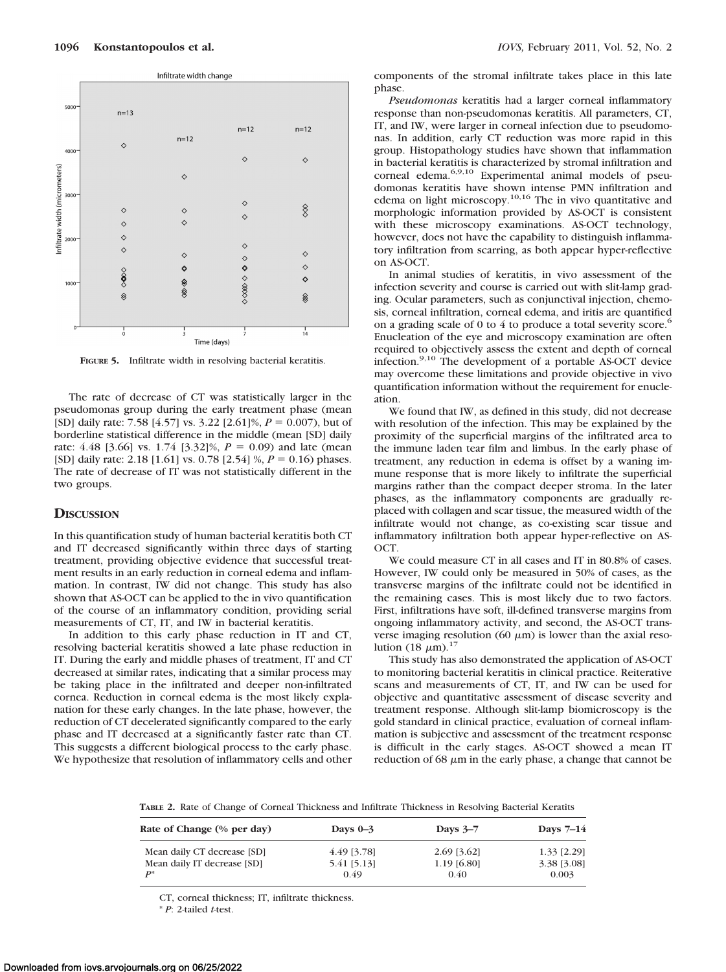

**FIGURE 5.** Infiltrate width in resolving bacterial keratitis.

The rate of decrease of CT was statistically larger in the pseudomonas group during the early treatment phase (mean [SD] daily rate: 7.58 [4.57] vs. 3.22 [2.61]%,  $P = 0.007$ ), but of borderline statistical difference in the middle (mean [SD] daily rate: 4.48 [3.66] vs. 1.74 [3.32]%,  $P = 0.09$ ) and late (mean [SD] daily rate: 2.18 [1.61] vs. 0.78 [2.54] %,  $P = 0.16$ ) phases. The rate of decrease of IT was not statistically different in the two groups.

### **DISCUSSION**

In this quantification study of human bacterial keratitis both CT and IT decreased significantly within three days of starting treatment, providing objective evidence that successful treatment results in an early reduction in corneal edema and inflammation. In contrast, IW did not change. This study has also shown that AS-OCT can be applied to the in vivo quantification of the course of an inflammatory condition, providing serial measurements of CT, IT, and IW in bacterial keratitis.

In addition to this early phase reduction in IT and CT, resolving bacterial keratitis showed a late phase reduction in IT. During the early and middle phases of treatment, IT and CT decreased at similar rates, indicating that a similar process may be taking place in the infiltrated and deeper non-infiltrated cornea. Reduction in corneal edema is the most likely explanation for these early changes. In the late phase, however, the reduction of CT decelerated significantly compared to the early phase and IT decreased at a significantly faster rate than CT. This suggests a different biological process to the early phase. We hypothesize that resolution of inflammatory cells and other

components of the stromal infiltrate takes place in this late phase.

*Pseudomonas* keratitis had a larger corneal inflammatory response than non-pseudomonas keratitis. All parameters, CT, IT, and IW, were larger in corneal infection due to pseudomonas. In addition, early CT reduction was more rapid in this group. Histopathology studies have shown that inflammation in bacterial keratitis is characterized by stromal infiltration and corneal edema.<sup>6,9,10</sup> Experimental animal models of pseudomonas keratitis have shown intense PMN infiltration and edema on light microscopy.<sup>10,16</sup> The in vivo quantitative and morphologic information provided by AS-OCT is consistent with these microscopy examinations. AS-OCT technology, however, does not have the capability to distinguish inflammatory infiltration from scarring, as both appear hyper-reflective on AS-OCT.

In animal studies of keratitis, in vivo assessment of the infection severity and course is carried out with slit-lamp grading. Ocular parameters, such as conjunctival injection, chemosis, corneal infiltration, corneal edema, and iritis are quantified on a grading scale of 0 to 4 to produce a total severity score.<sup>6</sup> Enucleation of the eye and microscopy examination are often required to objectively assess the extent and depth of corneal infection.9,10 The development of a portable AS-OCT device may overcome these limitations and provide objective in vivo quantification information without the requirement for enucleation.

We found that IW, as defined in this study, did not decrease with resolution of the infection. This may be explained by the proximity of the superficial margins of the infiltrated area to the immune laden tear film and limbus. In the early phase of treatment, any reduction in edema is offset by a waning immune response that is more likely to infiltrate the superficial margins rather than the compact deeper stroma. In the later phases, as the inflammatory components are gradually replaced with collagen and scar tissue, the measured width of the infiltrate would not change, as co-existing scar tissue and inflammatory infiltration both appear hyper-reflective on AS-OCT.

We could measure CT in all cases and IT in 80.8% of cases. However, IW could only be measured in 50% of cases, as the transverse margins of the infiltrate could not be identified in the remaining cases. This is most likely due to two factors. First, infiltrations have soft, ill-defined transverse margins from ongoing inflammatory activity, and second, the AS-OCT transverse imaging resolution (60  $\mu$ m) is lower than the axial resolution (18  $\mu$ m).<sup>17</sup>

This study has also demonstrated the application of AS-OCT to monitoring bacterial keratitis in clinical practice. Reiterative scans and measurements of CT, IT, and IW can be used for objective and quantitative assessment of disease severity and treatment response. Although slit-lamp biomicroscopy is the gold standard in clinical practice, evaluation of corneal inflammation is subjective and assessment of the treatment response is difficult in the early stages. AS-OCT showed a mean IT reduction of 68  $\mu$ m in the early phase, a change that cannot be

**TABLE 2.** Rate of Change of Corneal Thickness and Infiltrate Thickness in Resolving Bacterial Keratits

| Rate of Change (% per day)  | Days $0-3$  | Days $3-7$  | Days $7-14$ |
|-----------------------------|-------------|-------------|-------------|
| Mean daily CT decrease [SD] | 4.49 [3.78] | 2.69 [3.62] | 1.33 [2.29] |
| Mean daily IT decrease [SD] | 5.41 [5.13] | 1.19 [6.80] | 3.38 [3.08] |
| $P^*$                       | 0.49        | 0.40        | 0.003       |

CT, corneal thickness; IT, infiltrate thickness.

\* *P*: 2-tailed *t*-test.